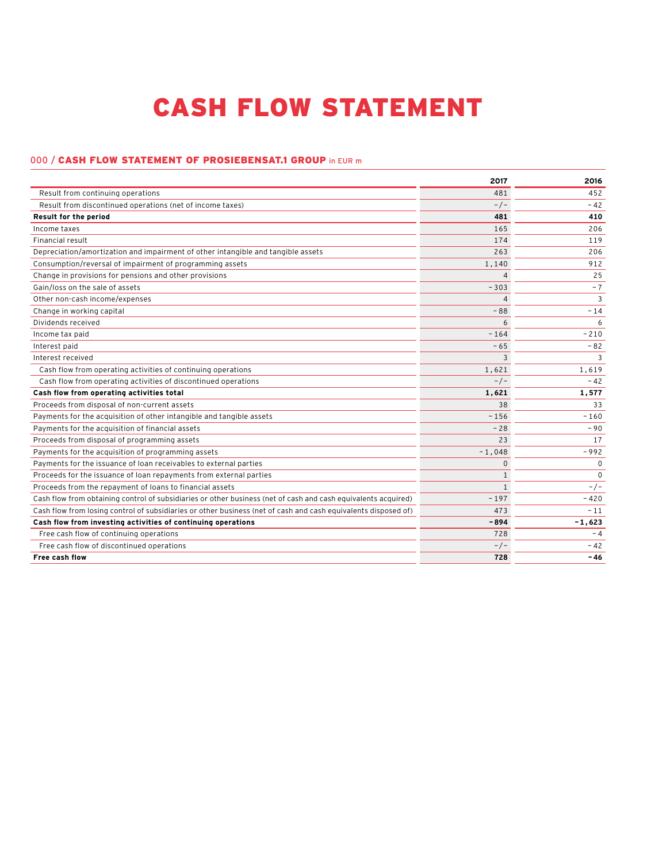## CASH FLOW STATEMENT

## 000 / CASH FLOW STATEMENT OF PROSIEBENSAT.1 GROUP in EUR m

|                                                                                                                | 2017         | 2016        |
|----------------------------------------------------------------------------------------------------------------|--------------|-------------|
| Result from continuing operations                                                                              | 481          | 452         |
| Result from discontinued operations (net of income taxes)                                                      | $-/-$        | $-42$       |
| Result for the period                                                                                          | 481          | 410         |
| Income taxes                                                                                                   | 165          | 206         |
| Financial result                                                                                               | 174          | 119         |
| Depreciation/amortization and impairment of other intangible and tangible assets                               | 263          | 206         |
| Consumption/reversal of impairment of programming assets                                                       | 1,140        | 912         |
| Change in provisions for pensions and other provisions                                                         | $\Delta$     | 25          |
| Gain/loss on the sale of assets                                                                                | $-303$       | $-7$        |
| Other non-cash income/expenses                                                                                 | $\Delta$     | 3           |
| Change in working capital                                                                                      | $-88$        | $-14$       |
| Dividends received                                                                                             | 6            | 6           |
| Income tax paid                                                                                                | $-164$       | $-210$      |
| Interest paid                                                                                                  | $-65$        | $-82$       |
| Interest received                                                                                              | 3            | 3           |
| Cash flow from operating activities of continuing operations                                                   | 1,621        | 1,619       |
| Cash flow from operating activities of discontinued operations                                                 | $-/-$        | $-42$       |
| Cash flow from operating activities total                                                                      | 1,621        | 1,577       |
| Proceeds from disposal of non-current assets                                                                   | 38           | 33          |
| Payments for the acquisition of other intangible and tangible assets                                           | $-156$       | $-160$      |
| Payments for the acquisition of financial assets                                                               | $-28$        | $-90$       |
| Proceeds from disposal of programming assets                                                                   | 23           | 17          |
| Payments for the acquisition of programming assets                                                             | $-1,048$     | $-992$      |
| Payments for the issuance of loan receivables to external parties                                              | $\Omega$     | $\mathbf 0$ |
| Proceeds for the issuance of loan repayments from external parties                                             | $\mathbf{1}$ | $\Omega$    |
| Proceeds from the repayment of loans to financial assets                                                       | $\mathbf{1}$ | $-/-$       |
| Cash flow from obtaining control of subsidiaries or other business (net of cash and cash equivalents acquired) | $-197$       | $-420$      |
| Cash flow from losing control of subsidiaries or other business (net of cash and cash equivalents disposed of) | 473          | $-11$       |
| Cash flow from investing activities of continuing operations                                                   | $-894$       | $-1,623$    |
| Free cash flow of continuing operations                                                                        | 728          | $-4$        |
| Free cash flow of discontinued operations                                                                      | $-/-$        | $-42$       |
| <b>Free cash flow</b>                                                                                          | 728          | $-46$       |